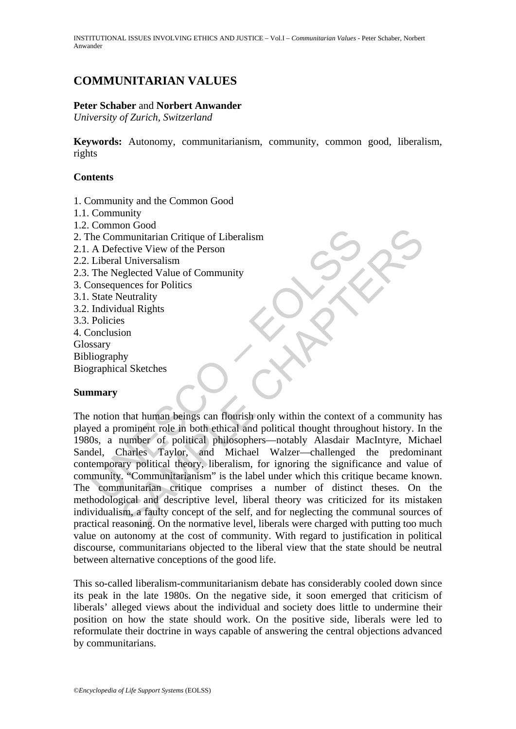INSTITUTIONAL ISSUES INVOLVING ETHICS AND JUSTICE – Vol.I – *Communitarian Values* - Peter Schaber, Norbert Anwander

# **COMMUNITARIAN VALUES**

#### **Peter Schaber** and **Norbert Anwander**

*University of Zurich, Switzerland* 

**Keywords:** Autonomy, communitarianism, community, common good, liberalism, rights

#### **Contents**

- 1. Community and the Common Good
- 1.1. Community
- 1.2. Common Good
- 2. The Communitarian Critique of Liberalism
- 2.1. A Defective View of the Person
- 2.2. Liberal Universalism
- 2.3. The Neglected Value of Community
- 3. Consequences for Politics
- 3.1. State Neutrality
- 3.2. Individual Rights
- 3.3. Policies
- 4. Conclusion Glossary
- Bibliography
- Biographical Sketches

#### **Summary**

For Communitarian Critique of Liberalism<br>
A Defective View of the Person<br>
Liberal Universalism<br>
The Neglected Value of Community<br>
State Neutrality<br>
State Neutrality<br>
Individual Rights<br>
Policies<br>
Individual Rights<br>
Policies For Cool<br>
control of the Person<br>
inmunitarian Critique of Liberalism<br>
active View of the Person<br>
1 Universalism<br>
elected Value of Community<br>
elected Value of Community<br>
elected Value of Community<br>
ses<br>
ses<br>
ses<br>
ion<br>
that The notion that human beings can flourish only within the context of a community has played a prominent role in both ethical and political thought throughout history. In the 1980s, a number of political philosophers—notably Alasdair MacIntyre, Michael Sandel, Charles Taylor, and Michael Walzer—challenged the predominant contemporary political theory, liberalism, for ignoring the significance and value of community. "Communitarianism" is the label under which this critique became known. The communitarian critique comprises a number of distinct theses. On the methodological and descriptive level, liberal theory was criticized for its mistaken individualism, a faulty concept of the self, and for neglecting the communal sources of practical reasoning. On the normative level, liberals were charged with putting too much value on autonomy at the cost of community. With regard to justification in political discourse, communitarians objected to the liberal view that the state should be neutral between alternative conceptions of the good life.

This so-called liberalism-communitarianism debate has considerably cooled down since its peak in the late 1980s. On the negative side, it soon emerged that criticism of liberals' alleged views about the individual and society does little to undermine their position on how the state should work. On the positive side, liberals were led to reformulate their doctrine in ways capable of answering the central objections advanced by communitarians.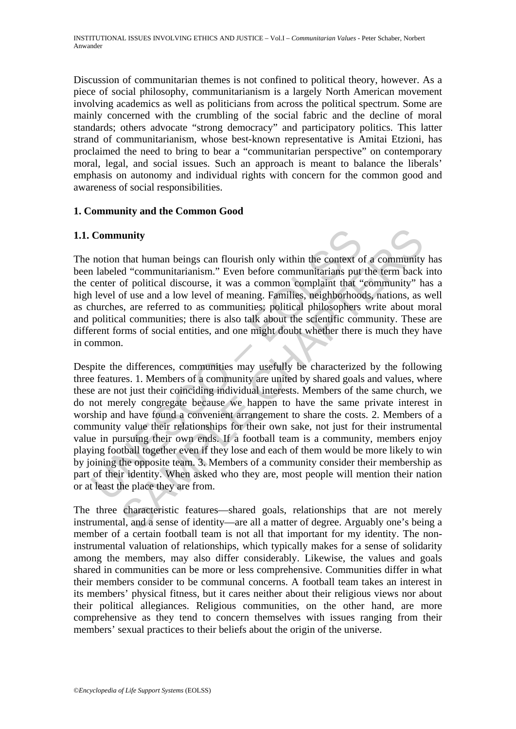Discussion of communitarian themes is not confined to political theory, however. As a piece of social philosophy, communitarianism is a largely North American movement involving academics as well as politicians from across the political spectrum. Some are mainly concerned with the crumbling of the social fabric and the decline of moral standards; others advocate "strong democracy" and participatory politics. This latter strand of communitarianism, whose best-known representative is Amitai Etzioni, has proclaimed the need to bring to bear a "communitarian perspective" on contemporary moral, legal, and social issues. Such an approach is meant to balance the liberals' emphasis on autonomy and individual rights with concern for the common good and awareness of social responsibilities.

## **1. Community and the Common Good**

## **1.1. Community**

The notion that human beings can flourish only within the context of a community has been labeled "communitarianism." Even before communitarians put the term back into the center of political discourse, it was a common complaint that "community" has a high level of use and a low level of meaning. Families, neighborhoods, nations, as well as churches, are referred to as communities; political philosophers write about moral and political communities; there is also talk about the scientific community. These are different forms of social entities, and one might doubt whether there is much they have in common.

**Community**<br>
notion that human beings can flourish only within the context of<br>
n labeled "communitarianism." Even before communitarians put<br>
center of political discourse, it was a common complaint that<br>
l level of use and **unity**<br>
that human beings can flourish only within the context of a community<br>
d''communitarianism." Even before communitarians put the term back<br>
of political discourse, it was a common complaint that "community" h<br>
of u Despite the differences, communities may usefully be characterized by the following three features. 1. Members of a community are united by shared goals and values, where these are not just their coinciding individual interests. Members of the same church, we do not merely congregate because we happen to have the same private interest in worship and have found a convenient arrangement to share the costs. 2. Members of a community value their relationships for their own sake, not just for their instrumental value in pursuing their own ends. If a football team is a community, members enjoy playing football together even if they lose and each of them would be more likely to win by joining the opposite team. 3. Members of a community consider their membership as part of their identity. When asked who they are, most people will mention their nation or at least the place they are from.

The three characteristic features—shared goals, relationships that are not merely instrumental, and a sense of identity—are all a matter of degree. Arguably one's being a member of a certain football team is not all that important for my identity. The noninstrumental valuation of relationships, which typically makes for a sense of solidarity among the members, may also differ considerably. Likewise, the values and goals shared in communities can be more or less comprehensive. Communities differ in what their members consider to be communal concerns. A football team takes an interest in its members' physical fitness, but it cares neither about their religious views nor about their political allegiances. Religious communities, on the other hand, are more comprehensive as they tend to concern themselves with issues ranging from their members' sexual practices to their beliefs about the origin of the universe.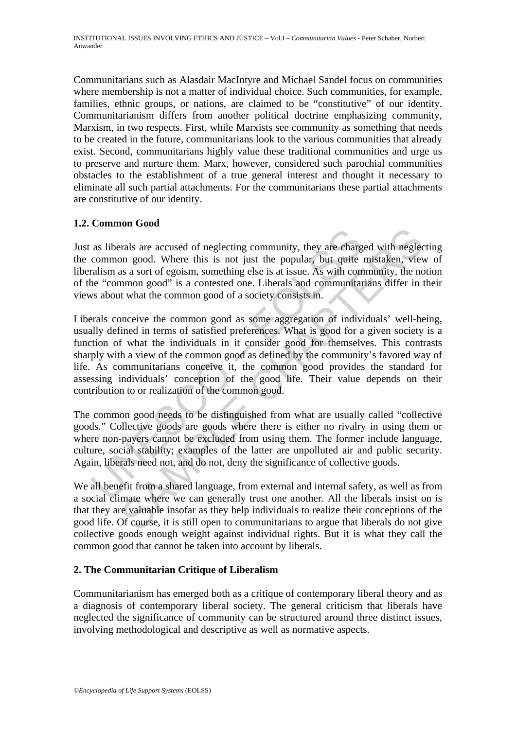Communitarians such as Alasdair MacIntyre and Michael Sandel focus on communities where membership is not a matter of individual choice. Such communities, for example, families, ethnic groups, or nations, are claimed to be "constitutive" of our identity. Communitarianism differs from another political doctrine emphasizing community, Marxism, in two respects. First, while Marxists see community as something that needs to be created in the future, communitarians look to the various communities that already exist. Second, communitarians highly value these traditional communities and urge us to preserve and nurture them. Marx, however, considered such parochial communities obstacles to the establishment of a true general interest and thought it necessary to eliminate all such partial attachments. For the communitarians these partial attachments are constitutive of our identity.

## **1.2. Common Good**

Just as liberals are accused of neglecting community, they are charged with neglecting the common good. Where this is not just the popular, but quite mistaken, view of liberalism as a sort of egoism, something else is at issue. As with community, the notion of the "common good" is a contested one. Liberals and communitarians differ in their views about what the common good of a society consists in.

as liberals are accused of neglecting community, they are charged common good. Where this is not just the popular, but quite ralism as a sort of egosim, something else is at issue. As with come accuracion as a control is a For a social of meglecting community, they are charged with neglecting contains are charged with meglecting cond. Where this is not just the popular, but quite mistaken, viewed as a sort of egoism, something else is at iss Liberals conceive the common good as some aggregation of individuals' well-being, usually defined in terms of satisfied preferences. What is good for a given society is a function of what the individuals in it consider good for themselves. This contrasts sharply with a view of the common good as defined by the community's favored way of life. As communitarians conceive it, the common good provides the standard for assessing individuals' conception of the good life. Their value depends on their contribution to or realization of the common good.

The common good needs to be distinguished from what are usually called "collective goods." Collective goods are goods where there is either no rivalry in using them or where non-payers cannot be excluded from using them. The former include language, culture, social stability; examples of the latter are unpolluted air and public security. Again, liberals need not, and do not, deny the significance of collective goods.

We all benefit from a shared language, from external and internal safety, as well as from a social climate where we can generally trust one another. All the liberals insist on is that they are valuable insofar as they help individuals to realize their conceptions of the good life. Of course, it is still open to communitarians to argue that liberals do not give collective goods enough weight against individual rights. But it is what they call the common good that cannot be taken into account by liberals.

## **2. The Communitarian Critique of Liberalism**

Communitarianism has emerged both as a critique of contemporary liberal theory and as a diagnosis of contemporary liberal society. The general criticism that liberals have neglected the significance of community can be structured around three distinct issues, involving methodological and descriptive as well as normative aspects.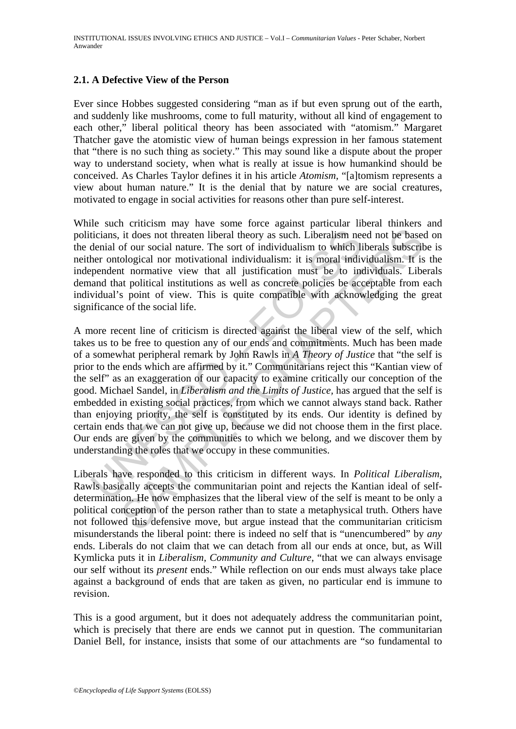## **2.1. A Defective View of the Person**

Ever since Hobbes suggested considering "man as if but even sprung out of the earth, and suddenly like mushrooms, come to full maturity, without all kind of engagement to each other," liberal political theory has been associated with "atomism." Margaret Thatcher gave the atomistic view of human beings expression in her famous statement that "there is no such thing as society." This may sound like a dispute about the proper way to understand society, when what is really at issue is how humankind should be conceived. As Charles Taylor defines it in his article *Atomism*, "[a]tomism represents a view about human nature." It is the denial that by nature we are social creatures, motivated to engage in social activities for reasons other than pure self-interest.

While such criticism may have some force against particular liberal thinkers and politicians, it does not threaten liberal theory as such. Liberalism need not be based on the denial of our social nature. The sort of individualism to which liberals subscribe is neither ontological nor motivational individualism: it is moral individualism. It is the independent normative view that all justification must be to individuals. Liberals demand that political institutions as well as concrete policies be acceptable from each individual's point of view. This is quite compatible with acknowledging the great significance of the social life.

ticians, it does not threaten liberal theory as such. Liberalism nedenial of our social nature. The sort of individualism to which liber ontological nor motivational individualism: it is moral individualism to which liber it does not threaten liberal theory as such. Liberalism need not be based of our social nature. The sort of individualism to which liberals subscribe of our social nature. The sort of individualism to which liberals subsc A more recent line of criticism is directed against the liberal view of the self, which takes us to be free to question any of our ends and commitments. Much has been made of a somewhat peripheral remark by John Rawls in *A Theory of Justice* that "the self is prior to the ends which are affirmed by it." Communitarians reject this "Kantian view of the self" as an exaggeration of our capacity to examine critically our conception of the good. Michael Sandel, in *Liberalism and the Limits of Justice,* has argued that the self is embedded in existing social practices, from which we cannot always stand back. Rather than enjoying priority, the self is constituted by its ends. Our identity is defined by certain ends that we can not give up, because we did not choose them in the first place. Our ends are given by the communities to which we belong, and we discover them by understanding the roles that we occupy in these communities.

Liberals have responded to this criticism in different ways. In *Political Liberalism*, Rawls basically accepts the communitarian point and rejects the Kantian ideal of selfdetermination. He now emphasizes that the liberal view of the self is meant to be only a political conception of the person rather than to state a metaphysical truth. Others have not followed this defensive move, but argue instead that the communitarian criticism misunderstands the liberal point: there is indeed no self that is "unencumbered" by *any* ends. Liberals do not claim that we can detach from all our ends at once, but, as Will Kymlicka puts it in *Liberalism, Community and Culture,* "that we can always envisage our self without its *present* ends." While reflection on our ends must always take place against a background of ends that are taken as given, no particular end is immune to revision.

This is a good argument, but it does not adequately address the communitarian point, which is precisely that there are ends we cannot put in question. The communitarian Daniel Bell, for instance, insists that some of our attachments are "so fundamental to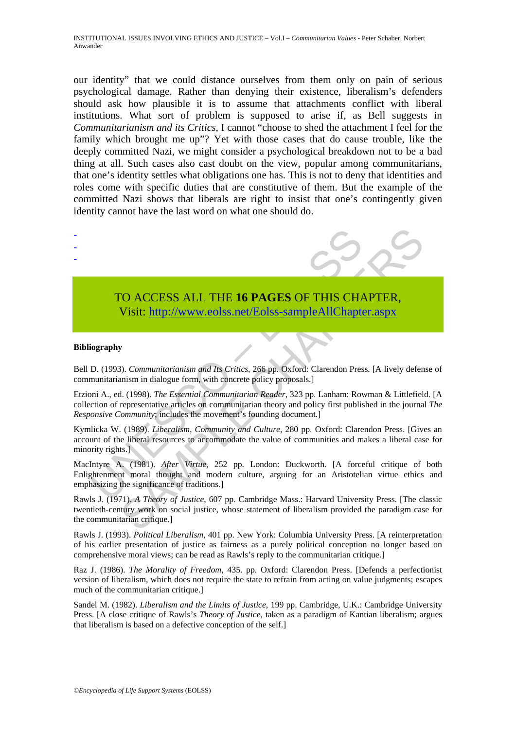our identity" that we could distance ourselves from them only on pain of serious psychological damage. Rather than denying their existence, liberalism's defenders should ask how plausible it is to assume that attachments conflict with liberal institutions. What sort of problem is supposed to arise if, as Bell suggests in *Communitarianism and its Critics*, I cannot "choose to shed the attachment I feel for the family which brought me up"? Yet with those cases that do cause trouble, like the deeply committed Nazi, we might consider a psychological breakdown not to be a bad thing at all. Such cases also cast doubt on the view, popular among communitarians, that one's identity settles what obligations one has. This is not to deny that identities and roles come with specific duties that are constitutive of them. But the example of the committed Nazi shows that liberals are right to insist that one's contingently given identity cannot have the last word on what one should do.



# TO ACCESS ALL THE **16 PAGES** OF THIS CHAPTER, Visit: http://www.eolss.net/Eolss-sampleAllChapter.aspx

#### **Bibliography**

- - -

Bell D. (1993). *Communitarianism and Its Critics*, 266 pp. Oxford: Clarendon Press. [A lively defense of communitarianism in dialogue form, with concrete policy proposals.]

TO ACCESS ALL THE 16 PAGES OF THIS CHANNEL Visit: http://www.eolss.net/Eolss-sampleAllChapte<br>Visit: http://www.eolss.net/Eolss-sampleAllChapte<br>iography<br>D. (1993). Communitarianism and Its Critics, 266 pp. Oxford: Clarendon CO ACCESS ALL THE 16 PAGES OF THIS CH[APTE](https://www.eolss.net/ebooklib/sc_cart.aspx?File=E1-37-01-07)R,<br>Visit:  $\frac{http://www.eolss.net/Eolss-sampleAllChapter aspx}{http://www.eolss.net/Eolss-sampleAllChapter aspx}$ <br>S). Communitarianism and Its Critics, 266 pp. Oxford: Clarendon Press. [A lively defen<br>mism in dialogue form, with concrete policy Etzioni A., ed. (1998). *The Essential Communitarian Reader*, 323 pp. Lanham: Rowman & Littlefield. [A collection of representative articles on communitarian theory and policy first published in the journal *The Responsive Community*; includes the movement's founding document.]

Kymlicka W. (1989). *Liberalism, Community and Culture*, 280 pp. Oxford: Clarendon Press. [Gives an account of the liberal resources to accommodate the value of communities and makes a liberal case for minority rights.]

MacIntyre A. (1981). *After Virtue*, 252 pp. London: Duckworth. [A forceful critique of both Enlightenment moral thought and modern culture, arguing for an Aristotelian virtue ethics and emphasizing the significance of traditions.]

Rawls J. (1971). *A Theory of Justice*, 607 pp. Cambridge Mass.: Harvard University Press. [The classic twentieth-century work on social justice, whose statement of liberalism provided the paradigm case for the communitarian critique.]

Rawls J. (1993). *Political Liberalism*, 401 pp. New York: Columbia University Press. [A reinterpretation of his earlier presentation of justice as fairness as a purely political conception no longer based on comprehensive moral views; can be read as Rawls's reply to the communitarian critique.]

Raz J. (1986). *The Morality of Freedom*, 435. pp. Oxford: Clarendon Press. [Defends a perfectionist version of liberalism, which does not require the state to refrain from acting on value judgments; escapes much of the communitarian critique.]

Sandel M. (1982). *Liberalism and the Limits of Justice*, 199 pp. Cambridge, U.K.: Cambridge University Press. [A close critique of Rawls's *Theory of Justice*, taken as a paradigm of Kantian liberalism; argues that liberalism is based on a defective conception of the self.]